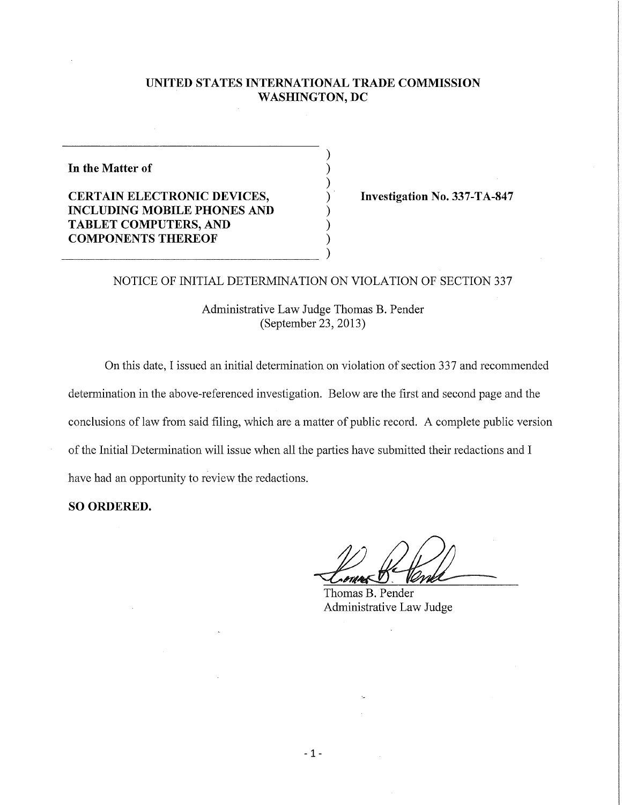### **UNITED STATES INTERNATIONAL TRADE COMMISSION WASHINGTON, DC**

**In the Matter of** 

**CERTAIN ELECTRONIC DEVICES, Superiorist SERTAIN ELECTRONIC DEVICES, Investigation No. 337-TA-847 INCLUDING MOBILE PHONES AND TABLET COMPUTERS, AND COMPONENTS THEREOF** 

## NOTICE OF INITIAL DETERMINATION ON VIOLATION OF SECTION 337

Administrative Law Judge Thomas B. Pender (September 23, 2013)

On this date, I issued an initial determination on violation of section 337 and recommended detemiination in the above-referenced investigation. Below are the first and second page and the conclusions of law from said filing, which are a matter of public record. A complete public version of the Initial Detemiination will issue when all the parties have submitted their redactions and I have had an opportunity to review the redactions.

**SO ORDERED.** 

Thomas B. Pender Administrative Law Judge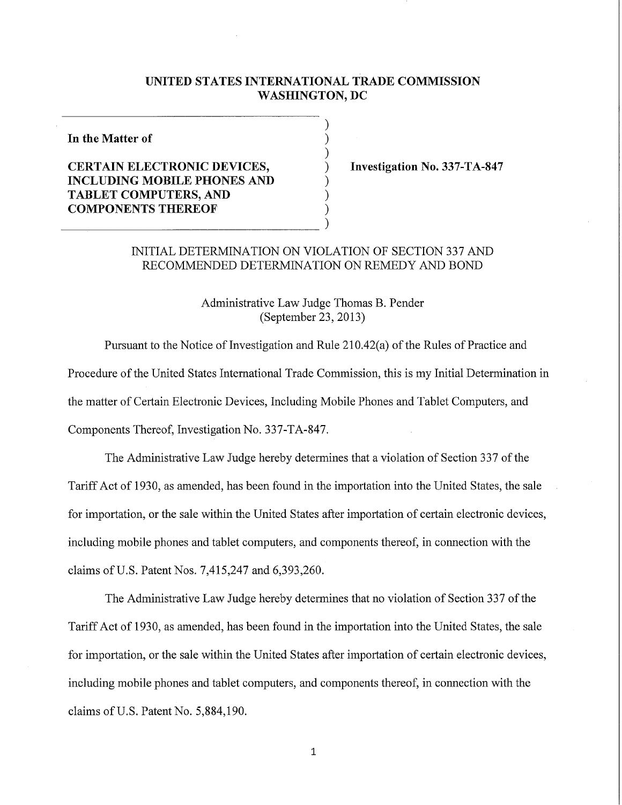#### **UNITED STATES INTERNATIONAL TRADE COMMISSION WASHINGTON, DC**

**In the Matter of** 

# **CERTAIN ELECTRONIC DEVICES, INCLUDING MOBILE PHONES AND TABLET COMPUTERS, AND COMPONENTS THEREOF**

**Investigation No. 337-TA-847** 

# INITIAL DETERMINATION ON VIOLATION OF SECTION 337 AND RECOMMENDED DETERMINATION ON REMEDY AND BOND

Administrative Law Judge Thomas B. Pender (September 23, 2013)

Pursuant to the Notice of Investigation and Rule 210.42(a) of the Rules of Practice and Procedure of the United States International Trade Commission, this is my Initial Determination in the matter of Certain Electronic Devices, Including Mobile Phones and Tablet Computers, and Components Thereof, Investigation No. 337-TA-847.

The Administrative Law Judge hereby determines that a violation of Section 337 of the Tariff Act of 1930, as amended, has been found in the importation into the United States, the sale for importation, or the sale within the United States after importation of certain electronic devices, including mobile phones and tablet computers, and components thereof, in connection with the claims of U.S. Patent Nos. 7,415,247 and 6,393,260.

The Administrative Law Judge hereby determines that no violation of Section 337 of the Tariff Act of 1930, as amended, has been found in the importation into the United States, the sale for importation, or the sale within the United States after importation of certain electronic devices, including mobile phones and tablet computers, and components thereof, in connection with the claims of U.S. Patent No. 5,884,190.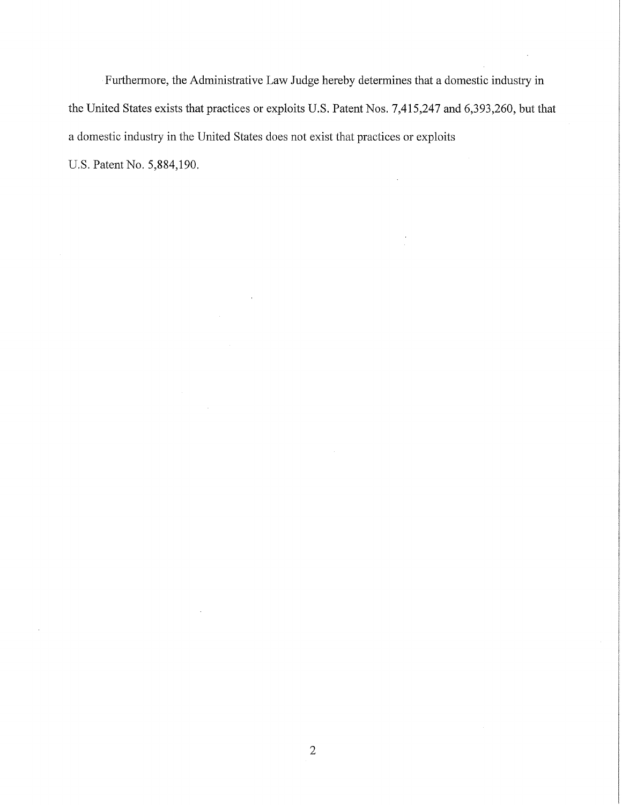Furthermore, the Administrative Law Judge hereby determines that a domestic industry in the United States exists that practices or exploits U.S. Patent Nos. 7,415,247 and 6,393,260, but that a domestic industry in the United States does not exist that practices or exploits U.S. Patent No. 5,884,190.